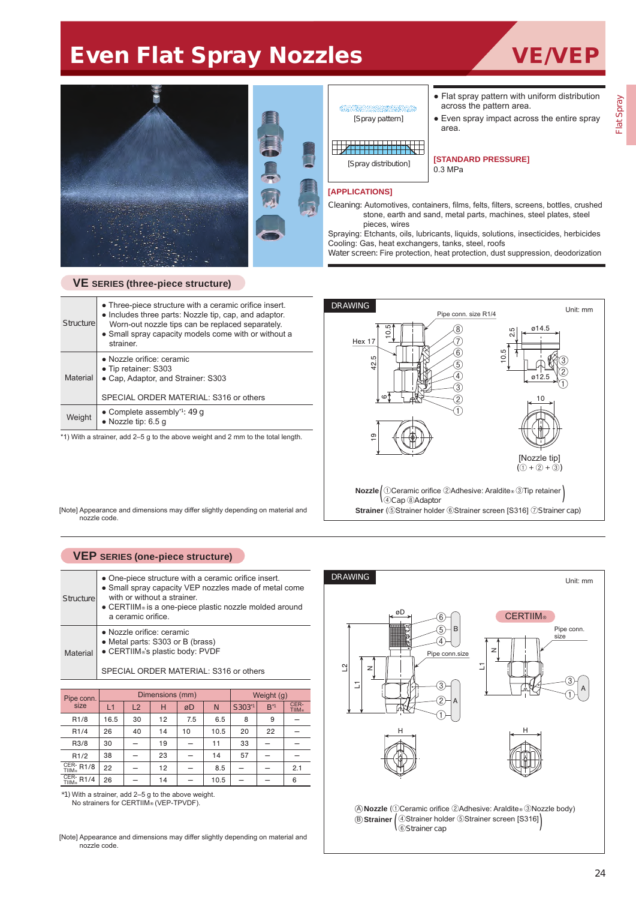# Even Flat Spray Nozzles VE/VEP



### **VE SERIES (three-piece structure)**

| <b>Structure</b> | • Three-piece structure with a ceramic orifice insert.<br>• Includes three parts: Nozzle tip, cap, and adaptor.<br>Worn-out nozzle tips can be replaced separately.<br>• Small spray capacity models come with or without a<br>strainer. |
|------------------|------------------------------------------------------------------------------------------------------------------------------------------------------------------------------------------------------------------------------------------|
| Material         | • Nozzle orifice: ceramic<br>• Tip retainer: S303<br>• Cap, Adaptor, and Strainer: S303<br>SPECIAL ORDER MATERIAL: S316 or others                                                                                                        |
| Weight           | • Complete assembly <sup>*1</sup> : 49 q<br>• Nozzle tip: $6.5 g$                                                                                                                                                                        |

\*1) With a strainer, add 2–5 g to the above weight and 2 mm to the total length.

[Spray pattern]

[Spray distribution]

● Flat spray pattern with uniform distribution across the pattern area.

● Even spray impact across the entire spray area.

#### **[STANDARD PRESSURE]** 0.3 MPa

#### **[APPLICATIONS]**

Cleaning: Automotives, containers, films, felts, filters, screens, bottles, crushed stone, earth and sand, metal parts, machines, steel plates, steel pieces, wires

Spraying: Etchants, oils, lubricants, liquids, solutions, insecticides, herbicides Cooling: Gas, heat exchangers, tanks, steel, roofs

Water screen: Fire protection, heat protection, dust suppression, deodorization



[Note] Appearance and dimensions may differ slightly depending on material and nozzle code.

## **VEP SERIES (one-piece structure)**

| Structure | • One-piece structure with a ceramic orifice insert.<br>• Small spray capacity VEP nozzles made of metal come<br>with or without a strainer.<br>• CERTIIM® is a one-piece plastic nozzle molded around<br>a ceramic orifice. |
|-----------|------------------------------------------------------------------------------------------------------------------------------------------------------------------------------------------------------------------------------|
| Material  | • Nozzle orifice: ceramic<br>• Metal parts: S303 or B (brass)<br>• CERTIIM®'s plastic body: PVDF<br>SPECIAL ORDER MATERIAL: S316 or others                                                                                   |

| Pipe conn.                 |      |    | Dimensions (mm) | Weight (g) |      |                    |                 |                       |  |
|----------------------------|------|----|-----------------|------------|------|--------------------|-----------------|-----------------------|--|
| size                       | L1   | L2 | н               | øD         | N    | S303 <sup>-1</sup> | $B^{\star}{}^1$ | CER-<br><b>TIIM</b> ® |  |
| R <sub>1/8</sub>           | 16.5 | 30 | 12              | 7.5        | 6.5  | 8                  | 9               |                       |  |
| R <sub>1</sub> /4          | 26   | 40 | 14              | 10         | 10.5 | 20                 | 22              |                       |  |
| R3/8                       | 30   |    | 19              |            | 11   | 33                 |                 |                       |  |
| R1/2                       | 38   |    | 23              |            | 14   | 57                 |                 |                       |  |
| $rac{CER}{TIIM\odot}$ R1/8 | 22   |    | 12              |            | 8.5  |                    |                 | 2.1                   |  |
| $CER-$ R1/4                | 26   |    | 14              |            | 10.5 |                    |                 | 6                     |  |

\*1) With a strainer, add 2–5 g to the above weight. No strainers for CERTIIM® (VEP-TPVDF).

[Note] Appearance and dimensions may differ slightly depending on material and nozzle code.



**Nozzle** (①Ceramic orifice ②Adhesive: Araldite® ③Nozzle body) A **Strainer** ④Strainer holder ⑤Strainer screen [S316] B <sup>⑥</sup>Strainer cap ( )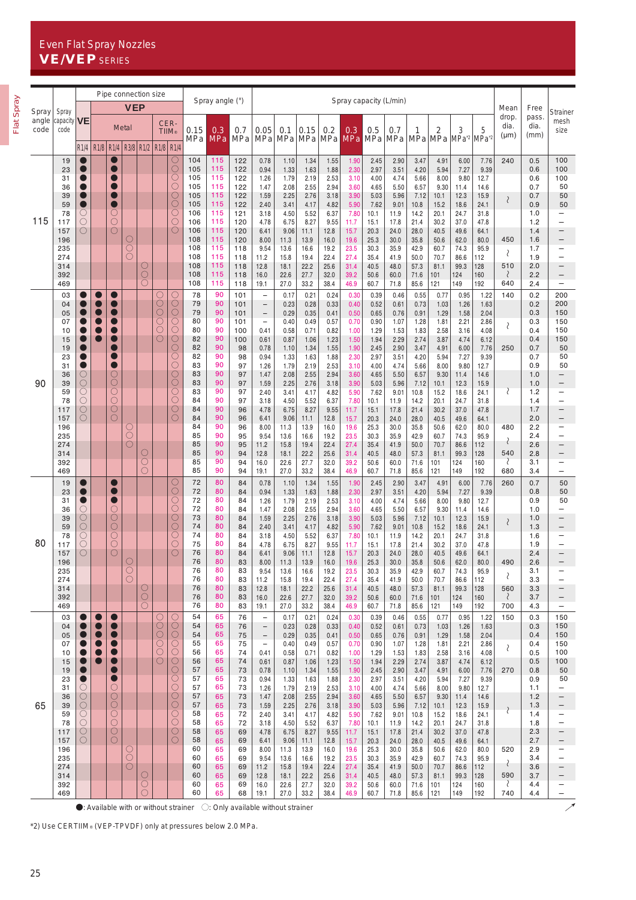## Even Flat Spray Nozzles VE/VEP SERIES

|               |                                 |                                                              |   |                                             | Pipe connection size     |                               |                         |                                                    |                          | Spray angle (°)          |                                                                                                | Spray capacity (L/min)                                             |                              |                              |                              |                              |                              |                              |                              |                              |                                        |                              |                   |                          |                                                                           |
|---------------|---------------------------------|--------------------------------------------------------------|---|---------------------------------------------|--------------------------|-------------------------------|-------------------------|----------------------------------------------------|--------------------------|--------------------------|------------------------------------------------------------------------------------------------|--------------------------------------------------------------------|------------------------------|------------------------------|------------------------------|------------------------------|------------------------------|------------------------------|------------------------------|------------------------------|----------------------------------------|------------------------------|-------------------|--------------------------|---------------------------------------------------------------------------|
| Spray         | Spray<br>capacity $V$ E<br>code |                                                              |   |                                             | <b>VEP</b>               |                               |                         |                                                    |                          |                          |                                                                                                |                                                                    |                              |                              |                              |                              |                              |                              |                              |                              |                                        |                              | Mean<br>drop.     | Free<br>pass.            | Strainer                                                                  |
| angle<br>code |                                 | R1/4                                                         |   | R <sub>1/8</sub> R <sub>1/4</sub>           | Metal                    |                               | R3/8 R1/2 R1/8 R1/4     | CER-<br><b>TIIM®</b>                               | 0.15<br>MPa              | 0.3<br><b>MPa</b>        | 0.7<br>MPa                                                                                     | 0.05<br>MPa                                                        | 0.1<br>MPa                   | 0.15<br>MPa                  | 0.2<br>MPa                   | 0.3                          | 0.5<br>MPa MPa MPa           | 0.7                          | 1                            | 2<br>MPa MPa                 | 3<br>MPa <sup>2</sup> MPa <sup>2</sup> | 5                            | dia.<br>$(\mu m)$ | dia.<br>(mm)             | mesh<br>size                                                              |
|               | 19<br>23                        | $\bullet$                                                    |   | $\bullet$                                   |                          |                               |                         | ooo                                                | 104<br>105               | 115<br>115               | 122<br>122                                                                                     | 0.78<br>0.94                                                       | 1.10<br>1.33                 | 1.34<br>1.63                 | 1.55<br>1.88                 | 1.90<br>2.30                 | 2.45<br>2.97                 | 2.90<br>3.51                 | 3.47<br>4.20                 | 4.91<br>5.94                 | 6.00<br>7.27                           | 7.76<br>9.39                 | 240               | 0.5<br>0.6               | 100<br>100                                                                |
|               | 31<br>36<br>39<br>59            | O<br>$\bullet$<br>$\bullet$                                  |   | $\blacksquare$<br>$\bullet$<br>$\bullet$    |                          |                               |                         | $\circ$<br>OOO                                     | 105<br>105<br>105<br>105 | 115<br>115<br>115<br>115 | 122<br>122<br>122<br>122                                                                       | 1.26<br>1.47<br>1.59<br>2.40                                       | 1.79<br>2.08<br>2.25<br>3.41 | 2.19<br>2.55<br>2.76<br>4.17 | 2.53<br>2.94<br>3.18<br>4.82 | 3.10<br>3.60<br>3.90<br>5.90 | 4.00<br>4.65<br>5.03<br>7.62 | 4.74<br>5.50<br>5.96<br>9.01 | 5.66<br>6.57<br>7.12<br>10.8 | 8.00<br>9.30<br>10.1<br>15.2 | 9.80<br>11.4<br>12.3<br>18.6           | 12.7<br>14.6<br>15.9<br>24.1 | $\langle$         | 0.6<br>0.7<br>0.7<br>0.9 | 100<br>50<br>50<br>50                                                     |
| 115           | 78<br>117<br>157                | O<br>$\bigcirc$<br>$\circ$                                   |   | O<br>$\circlearrowright$<br>$\circ$         |                          |                               |                         | О<br>$\circ$                                       | 106<br>106<br>106        | 115<br>115<br>115        | 121<br>120<br>120                                                                              | 3.18<br>4.78<br>6.41                                               | 4.50<br>6.75<br>9.06         | 5.52<br>8.27<br>11.1         | 6.37<br>9.55<br>12.8         | 7.80<br>11.7<br>15.7         | 10.1<br>15.1<br>20.3         | 11.9<br>17.8<br>24.0         | 14.2<br>21.4<br>28.0         | 20.1<br>30.2<br>40.5         | 24.7<br>37.0<br>49.6                   | 31.8<br>47.8<br>64.1         |                   | 1.0<br>1.2<br>1.4        | $\qquad \qquad -$<br>$\overline{\phantom{0}}$<br>$\qquad \qquad -$        |
|               | 196<br>235<br>274               |                                                              |   |                                             | $\frac{0}{0}$<br>O       |                               |                         |                                                    | 108<br>108<br>108        | 115<br>115<br>115        | 120<br>118<br>118                                                                              | 8.00<br>9.54<br>11.2                                               | 11.3<br>13.6<br>15.8         | 13.9<br>16.6<br>19.4         | 16.0<br>19.2<br>22.4         | 19.6<br>23.5<br>27.4         | 25.3<br>30.3<br>35.4         | 30.0<br>35.9<br>41.9         | 35.8<br>42.9<br>50.0         | 50.6<br>60.7<br>70.7         | 62.0<br>74.3<br>86.6                   | 80.0<br>95.9<br>112          | 450<br>$\langle$  | 1.6<br>1.7<br>1.9        | $\overline{\phantom{0}}$<br>$\qquad \qquad -$<br>$\overline{\phantom{0}}$ |
|               | 314<br>392<br>469               |                                                              |   |                                             |                          | O<br>$\bigcirc$<br>$\bigcirc$ |                         |                                                    | 108<br>108<br>108        | 115<br>115<br>115        | 118<br>118<br>118                                                                              | 12.8<br>16.0<br>19.1                                               | 18.1<br>22.6<br>27.0         | 22.2<br>27.7<br>33.2         | 25.6<br>32.0<br>38.4         | 31.4<br>39.2<br>46.9         | 40.5<br>50.6<br>60.7         | 48.0<br>60.0<br>71.8         | 57.3<br>71.6<br>85.6         | 81.1<br>101<br>121           | 99.3<br>124<br>149                     | 128<br>160<br>192            | 510<br>₹<br>640   | 2.0<br>2.2<br>2.4        | $\qquad \qquad -$<br>$\qquad \qquad -$<br>$\qquad \qquad -$               |
|               | 03<br>04<br>05                  |                                                              |   | $\bullet$<br>$\blacksquare$                 |                          |                               | О<br>$\circ$<br>$\circ$ | $\bigcirc$<br>OOO                                  | 78<br>79<br>79           | 90<br>90<br>90           | 101<br>101<br>101                                                                              | $\overline{\phantom{a}}$<br>$\qquad \qquad -$<br>$\qquad \qquad -$ | 0.17<br>0.23<br>0.29         | 0.21<br>0.28<br>0.35         | 0.24<br>0.33<br>0.41         | 0.30<br>0.40<br>0.50         | 0.39<br>0.52<br>0.65         | 0.46<br>0.61<br>0.76         | 0.55<br>0.73<br>0.91         | 0.77<br>1.03<br>1.29         | 0.95<br>1.26<br>1.58                   | 1.22<br>1.63<br>2.04         | 140               | 0.2<br>0.2<br>0.3        | 200<br>200<br>150                                                         |
|               | 07<br>10<br>15                  |                                                              | 0 | O<br>$\bullet$<br>$\bullet$                 |                          |                               | $\bigcirc$<br>О<br>О    | Ō                                                  | 80<br>80<br>82           | 90<br>90<br>90           | 101<br>100<br>100                                                                              | $\overline{\phantom{a}}$<br>0.41<br>0.61                           | 0.40<br>0.58<br>0.87         | 0.49<br>0.71<br>1.06         | 0.57<br>0.82<br>1.23         | 0.70<br>1.00<br>1.50         | 0.90<br>1.29<br>1.94         | 1.07<br>1.53<br>2.29         | 1.28<br>1.83<br>2.74         | 1.81<br>2.58<br>3.87         | 2.21<br>3.16<br>4.74                   | 2.86<br>4.08<br>6.12         | $\langle$         | 0.3<br>0.4<br>0.4        | 150<br>150<br>150                                                         |
|               | 19<br>23<br>31                  | 0<br>$\bullet$                                               |   | O<br>$\blacksquare$<br>$\bullet$            |                          |                               |                         | OOO<br>$\bigcirc$                                  | 82<br>82<br>83           | 90<br>90<br>90           | 98<br>98<br>97                                                                                 | 0.78<br>0.94<br>1.26                                               | 1.10<br>1.33<br>1.79         | 1.34<br>1.63<br>2.19         | 1.55<br>1.88<br>2.53         | 1.90<br>2.30<br>3.10         | 2.45<br>2.97<br>4.00         | 2.90<br>3.51<br>4.74         | 3.47<br>4.20<br>5.66         | 4.91<br>5.94<br>8.00         | 6.00<br>7.27<br>9.80                   | 7.76<br>9.39<br>12.7         | 250               | 0.7<br>0.7<br>0.9        | 50<br>50<br>50                                                            |
| 90            | 36<br>39<br>59                  | $\circlearrowright$<br>$\overline{O}$<br>$\circlearrowright$ |   | О<br>$\circ$<br>$\circlearrowright$         |                          |                               |                         | $\circ$<br>Ō<br>O                                  | 83<br>83<br>83           | 90<br>90<br>90           | 97<br>97<br>97                                                                                 | 1.47<br>1.59<br>2.40                                               | 2.08<br>2.25<br>3.41         | 2.55<br>2.76<br>4.17         | 2.94<br>3.18<br>4.82         | 3.60<br>3.90<br>5.90         | 4.65<br>5.03<br>7.62         | 5.50<br>5.96<br>9.01         | 6.57<br>7.12<br>10.8         | 9.30<br>10.1<br>15.2         | 11.4<br>12.3<br>18.6                   | 14.6<br>15.9<br>24.1         | ₹                 | 1.0<br>1.0<br>1.2        | $\qquad \qquad -$<br>$\overline{\phantom{0}}$<br>$\overline{\phantom{0}}$ |
|               | 78<br>117<br>157                | $\bigcirc$<br>$\bigcirc$<br>$\circ$                          |   | $\bigcirc$<br>$\circ$<br>$\circ$            |                          |                               |                         | $\circ$<br>$\circ$<br>$\bigcirc$                   | 84<br>84<br>84           | 90<br>90<br>90           | 97<br>96<br>96                                                                                 | 3.18<br>4.78<br>6.41                                               | 4.50<br>6.75<br>9.06         | 5.52<br>8.27<br>11.1         | 6.37<br>9.55<br>12.8         | 7.80<br>11.7<br>15.7         | 10.1<br>15.1<br>20.3         | 11.9<br>17.8<br>24.0         | 14.2<br>21.4<br>28.0         | 20.1<br>30.2<br>40.5         | 24.7<br>37.0<br>49.6                   | 31.8<br>47.8<br>64.1         |                   | 1.4<br>1.7<br>2.0        | $\overline{\phantom{0}}$<br>$\qquad \qquad -$<br>$\overline{\phantom{0}}$ |
|               | 196<br>235<br>274               |                                                              |   |                                             | O<br>$\bigcirc$<br>O     |                               |                         |                                                    | 84<br>85<br>85           | 90<br>90<br>90           | 96<br>95<br>95                                                                                 | 8.00<br>9.54<br>11.2                                               | 11.3<br>13.6<br>15.8         | 13.9<br>16.6<br>19.4         | 16.0<br>19.2<br>22.4         | 19.6<br>23.5<br>27.4         | 25.3<br>30.3<br>35.4         | 30.0<br>35.9<br>41.9         | 35.8<br>42.9<br>50.0         | 50.6<br>60.7<br>70.7         | 62.0<br>74.3<br>86.6                   | 80.0<br>95.9<br>112          | 480<br>₹          | 2.2<br>2.4<br>2.6        | $\qquad \qquad -$<br>$\qquad \qquad -$<br>$\overline{\phantom{0}}$        |
|               | 314<br>392<br>469               |                                                              |   |                                             |                          | $\frac{0}{0}$<br>$\bigcirc$   |                         |                                                    | 85<br>85<br>85           | 90<br>90<br>90           | 94<br>94<br>94                                                                                 | 12.8<br>16.0<br>19.1                                               | 18.1<br>22.6<br>27.0         | 22.2<br>27.7<br>33.2         | 25.6<br>32.0<br>38.4         | 31.4<br>39.2<br>46.9         | 40.5<br>50.6<br>60.7         | 48.0<br>60.0<br>71.8         | 57.3<br>71.6<br>85.6         | 81.1<br>101<br>121           | 99.3<br>124<br>149                     | 128<br>160<br>192            | 540<br>₹<br>680   | 2.8<br>3.1<br>3.4        | $\qquad \qquad -$<br>$\qquad \qquad -$<br>$\overline{\phantom{m}}$        |
|               | 19<br>23                        | D<br>0                                                       |   | 0<br>$\blacksquare$                         |                          |                               |                         | $\circ$<br>$\bar{O}$                               | 72<br>72                 | 80<br>80                 | 84<br>84                                                                                       | 0.78<br>0.94                                                       | 1.10<br>1.33                 | 1.34<br>1.63                 | 1.55<br>1.88                 | 1.90<br>2.30                 | 2.45<br>2.97                 | 2.90<br>3.51                 | 3.47<br>4.20                 | 4.91<br>5.94                 | 6.00<br>7.27                           | 7.76<br>9.39                 | 260               | 0.7<br>0.8               | 50<br>50                                                                  |
|               | 31<br>36<br>39                  | $\bullet$<br>O<br>$\bigcirc$                                 |   | 0<br>O<br>$\circ$<br>$\overline{O}$         |                          |                               |                         | $\bigcirc$<br>$\overline{O}$                       | 72<br>72<br>73           | 80<br>80<br>80           | 84<br>84<br>84                                                                                 | 1.26<br>1.47<br>1.59                                               | 1.79<br>2.08<br>2.25         | 2.19<br>2.55<br>2.76         | 2.53<br>2.94<br>3.18         | 3.10<br>3.60<br>3.90         | 4.00<br>4.65<br>5.03         | 4.74<br>5.50<br>5.96         | 5.66<br>6.57<br>7.12         | 8.00<br>9.30<br>10.1         | 9.80<br>11.4<br>12.3                   | 12.7<br>14.6<br>15.9         | $\langle$         | 0.9<br>1.0<br>1.0        | 50<br>$\overline{\phantom{0}}$<br>$\qquad \qquad -$                       |
| 80            | 59<br>78<br>117                 | $\overline{O}$<br>$\bigcirc$<br>$\circlearrowright$          |   | $\overline{\bigcirc}$<br>$\circ$<br>$\circ$ |                          |                               |                         | $\overline{\bigcirc}$<br>$\circ$<br>$\overline{O}$ | 74<br>74<br>75<br>76     | 80<br>80<br>80<br>80     | 84<br>84<br>84                                                                                 | 2.40<br>3.18<br>4.78                                               | 3.41<br>4.50<br>6.75         | 4.17<br>5.52<br>8.27         | 4.82<br>6.37<br>9.55         | 5.90<br>7.80<br>11.7         | 7.62<br>10.1<br>15.1         | 9.01<br>11.9<br>17.8         | 10.8<br>14.2<br>21.4         | 15.2<br>20.1<br>30.2         | 18.6<br>24.7<br>37.0                   | 24.1<br>31.8<br>47.8         |                   | 1.3<br>1.6<br>1.9        | $\overline{\phantom{0}}$<br>-<br>$\qquad \qquad -$                        |
|               | 157<br>196<br>235               |                                                              |   |                                             | Ω<br>U<br>O              |                               |                         |                                                    | 76<br>76                 | 80<br>80                 | 84<br>83<br>83                                                                                 | 6.41<br>8.00<br>9.54                                               | 9.06<br>11.3<br>13.6         | 11.1<br>13.9<br>16.6         | 12.8<br>16.0<br>19.2         | 15.7<br>19.6<br>23.5         | 20.3<br>25.3<br>30.3         | 24.0<br>30.0<br>35.9         | 28.0<br>35.8<br>42.9         | 40.5<br>50.6<br>60.7         | 49.6<br>62.0<br>74.3                   | 64.1<br>80.0<br>95.9         | 490<br>₹          | 2.4<br>2.6<br>3.1        | $\overline{\phantom{0}}$                                                  |
|               | 274<br>314<br>392               |                                                              |   |                                             |                          | $\circ$<br>$\frac{0}{0}$      |                         |                                                    | 76<br>76<br>76<br>76     | 80<br>80<br>80<br>80     | 83<br>83<br>83                                                                                 | 11.2<br>12.8<br>16.0                                               | 15.8<br>18.1<br>22.6         | 19.4<br>22.2<br>27.7         | 22.4<br>25.6<br>32.0         | 27.4<br>31.4<br>39.2         | 35.4<br>40.5<br>50.6         | 41.9<br>48.0<br>60.0         | 50.0<br>57.3<br>71.6         | 70.7<br>81.1<br>101          | 86.6<br>99.3<br>124                    | 112<br>128<br>160            | 560<br>₹          | 3.3<br>3.3<br>3.7        | $\qquad \qquad -$                                                         |
|               | 469<br>03<br>04                 |                                                              |   | O                                           |                          |                               | O<br>О                  | O                                                  | 54<br>54                 | 65<br>65                 | 83<br>76<br>76                                                                                 | 19.1<br>$\qquad \qquad -$                                          | 27.0<br>0.17<br>0.23         | 33.2<br>0.21<br>0.28         | 38.4<br>0.24<br>0.33         | 46.9<br>0.30<br>0.40         | 60.7<br>0.39<br>0.52         | 71.8<br>0.46<br>0.61         | 85.6<br>0.55<br>0.73         | 121<br>0.77<br>1.03          | 149<br>0.95<br>1.26                    | 192<br>1.22<br>1.63          | 700<br>150        | 4.3<br>0.3<br>0.3        | 150<br>150                                                                |
|               | 05<br>07<br>10                  |                                                              |   | $\blacksquare$<br>O                         |                          |                               | Ō<br>$\circ$<br>О       | 0000000                                            | 54<br>55<br>56           | 65<br>65<br>65           | 75<br>75<br>74                                                                                 | $\overline{\phantom{0}}$<br>$\overline{\phantom{a}}$<br>0.41       | 0.29<br>0.40<br>0.58         | 0.35<br>0.49<br>0.71         | 0.41<br>0.57<br>0.82         | 0.50<br>0.70<br>1.00         | 0.65<br>0.90<br>1.29         | 0.76<br>1.07<br>1.53         | 0.91<br>1.28<br>1.83         | 1.29<br>1.81<br>2.58         | 1.58<br>2.21<br>3.16                   | 2.04<br>2.86<br>4.08         | ₹                 | 0.4<br>0.4<br>0.5        | 150<br>150<br>100                                                         |
|               | 15<br>19<br>23                  | ●                                                            |   | $\bullet$<br>$\bullet$<br>$\bullet$         |                          |                               | $\bigcirc$              |                                                    | 56<br>57<br>57           | 65<br>65<br>65           | 74<br>73<br>73                                                                                 | 0.61<br>0.78<br>0.94                                               | 0.87<br>1.10<br>1.33         | 1.06<br>1.34<br>1.63         | 1.23<br>1.55<br>1.88         | 1.50<br>1.90<br>2.30         | 1.94<br>2.45<br>2.97         | 2.29<br>2.90<br>3.51         | 2.74<br>3.47<br>4.20         | 3.87<br>4.91<br>5.94         | 4.74<br>6.00<br>7.27                   | 6.12<br>7.76<br>9.39         | 270               | 0.5<br>0.8<br>0.9        | 100<br>50<br>50                                                           |
| 65            | 31<br>36<br>39                  | O<br>$\circlearrowright$<br>$\bigcirc$                       |   | O<br>$\circ$<br>$\overline{O}$              |                          |                               |                         | $\circ$<br>$\circ$<br>$\circ$                      | 57<br>57<br>57           | 65<br>65<br>65           | 73<br>73<br>73                                                                                 | 1.26<br>1.47<br>1.59                                               | 1.79<br>2.08<br>2.25         | 2.19<br>2.55<br>2.76         | 2.53<br>2.94<br>3.18         | 3.10<br>3.60<br>3.90         | 4.00<br>4.65<br>5.03         | 4.74<br>5.50<br>5.96         | 5.66<br>6.57<br>7.12         | 8.00<br>9.30<br>10.1         | 9.80<br>11.4<br>12.3                   | 12.7<br>14.6<br>15.9         | ₹                 | 1.1<br>1.2<br>1.3        | $\overline{\phantom{0}}$                                                  |
|               | 59<br>78<br>117                 | $\circlearrowright$<br>$\circ$<br>$\bigcirc$                 |   | О<br>$\circ$<br>$\bigcirc$                  |                          |                               |                         | $\circlearrowright$<br>$\circ$<br>$\circ$          | 58<br>58<br>58           | 65<br>65<br>65           | 72<br>72<br>69                                                                                 | 2.40<br>3.18<br>4.78                                               | 3.41<br>4.50<br>6.75         | 4.17<br>5.52<br>8.27         | 4.82<br>6.37<br>9.55         | 5.90<br>7.80<br>11.7         | 7.62<br>10.1<br>15.1         | 9.01<br>11.9<br>17.8         | 10.8<br>14.2<br>21.4         | 15.2<br>20.1<br>30.2         | 18.6<br>24.7<br>37.0                   | 24.1<br>31.8<br>47.8         |                   | 1.4<br>1.8<br>2.3        | -<br>$\overline{\phantom{0}}$                                             |
|               | 157<br>196<br>235               | О                                                            |   | $\circlearrowright$                         | О<br>$\circlearrowright$ |                               |                         | $\circ$                                            | 58<br>60<br>60           | 65<br>65<br>65           | 69<br>69<br>69                                                                                 | 6.41<br>8.00<br>9.54                                               | 9.06<br>11.3<br>13.6         | 11.1<br>13.9<br>16.6         | 12.8<br>16.0<br>19.2         | 15.7<br>19.6<br>23.5         | 20.3<br>25.3<br>30.3         | 24.0<br>30.0<br>35.9         | 28.0<br>35.8<br>42.9         | 40.5<br>50.6<br>60.7         | 49.6<br>62.0<br>74.3                   | 64.1<br>80.0<br>95.9         | 520               | 2.7<br>2.9<br>3.4        | -<br>$\overline{\phantom{0}}$<br>$\overline{\phantom{0}}$                 |
|               | 274<br>314<br>392               |                                                              |   |                                             | О                        | O<br>$\bigcirc$               |                         |                                                    | 60<br>60<br>60           | 65<br>65<br>65           | 69<br>69<br>69                                                                                 | 11.2<br>12.8<br>16.0                                               | 15.8<br>18.1<br>22.6         | 19.4<br>22.2<br>27.7         | 22.4<br>25.6<br>32.0         | 27.4<br>31.4<br>39.2         | 35.4<br>40.5<br>50.6         | 41.9<br>48.0<br>60.0         | 50.0<br>57.3<br>71.6         | 70.7<br>81.1<br>101          | 86.6<br>99.3<br>124                    | 112<br>128<br>160            | ₹<br>590<br>₹     | 3.6<br>3.7<br>4.4        | $\qquad \qquad -$<br>-                                                    |
|               | 469                             |                                                              |   |                                             |                          | ∩                             |                         |                                                    | 60                       | 65                       | 68<br>$\bullet$ : Available with or without strainer $\circ$ : Only available without strainer | 19.1                                                               | 27.0                         | 33.2                         | 38.4                         | 46.9                         | 60.7                         | 71.8                         | 85.6                         | 121                          | 149                                    | 192                          | 740               | 4.4                      | $\qquad \qquad -$                                                         |

 $\frac{1}{2}$ 

\*2) Use CERTIIM® (VEP-TPVDF) only at pressures below 2.0 MPa.